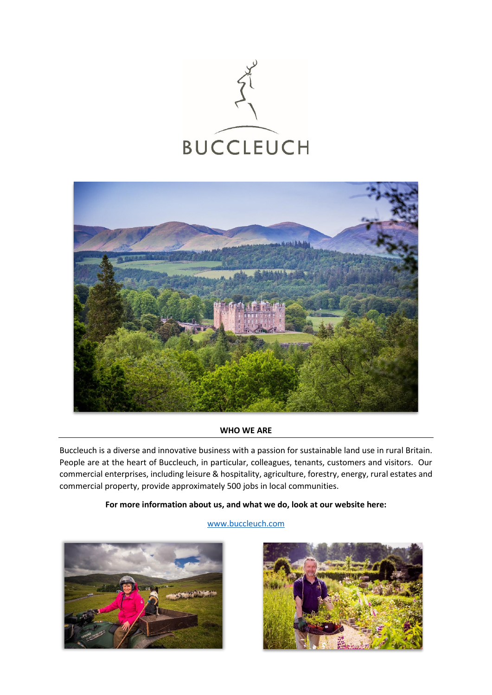



# **WHO WE ARE**

Buccleuch is a diverse and innovative business with a passion for sustainable land use in rural Britain. People are at the heart of Buccleuch, in particular, colleagues, tenants, customers and visitors. Our commercial enterprises, including leisure & hospitality, agriculture, forestry, energy, rural estates and commercial property, provide approximately 500 jobs in local communities.

# **For more information about us, and what we do, look at our website here:**

# [www.buccleuch.com](http://www.buccleuch.com/)



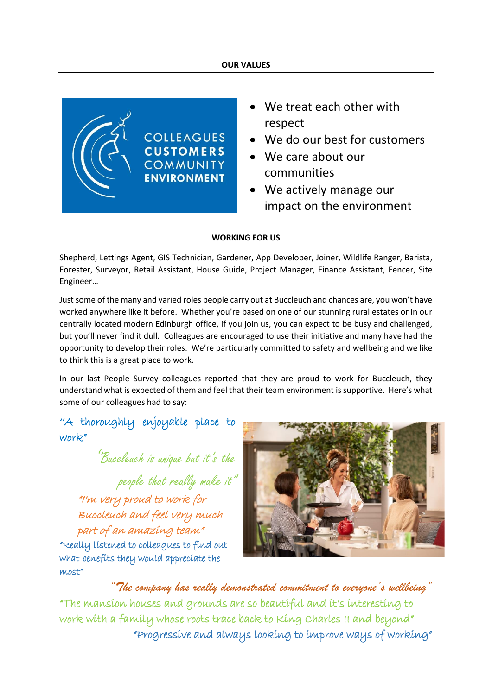### **OUR VALUES**



- We treat each other with respect
- We do our best for customers
- We care about our communities
- We actively manage our impact on the environment

### **WORKING FOR US**

Shepherd, Lettings Agent, GIS Technician, Gardener, App Developer, Joiner, Wildlife Ranger, Barista, Forester, Surveyor, Retail Assistant, House Guide, Project Manager, Finance Assistant, Fencer, Site Engineer…

Just some of the many and varied roles people carry out at Buccleuch and chances are, you won't have worked anywhere like it before. Whether you're based on one of our stunning rural estates or in our centrally located modern Edinburgh office, if you join us, you can expect to be busy and challenged, but you'll never find it dull. Colleagues are encouraged to use their initiative and many have had the opportunity to develop their roles. We're particularly committed to safety and wellbeing and we like to think this is a great place to work.

In our last People Survey colleagues reported that they are proud to work for Buccleuch, they understand what is expected of them and feel that their team environment is supportive. Here's what some of our colleagues had to say:

''A thoroughly enjoyable place to work."

''Buccleuch is unique but it's the people that really make it" "I'm very proud to work for Buccleuch and feel very much part of an amazing team" "Really listened to colleagues to find out what benefits they would appreciate the most"



*"The company has really demonstrated commitment to everyone's wellbeing"* "The mansion houses and grounds are so beautiful and it's interesting to work with a family whose roots trace back to King Charles II and beyond" "Progressive and always looking to improve ways of working"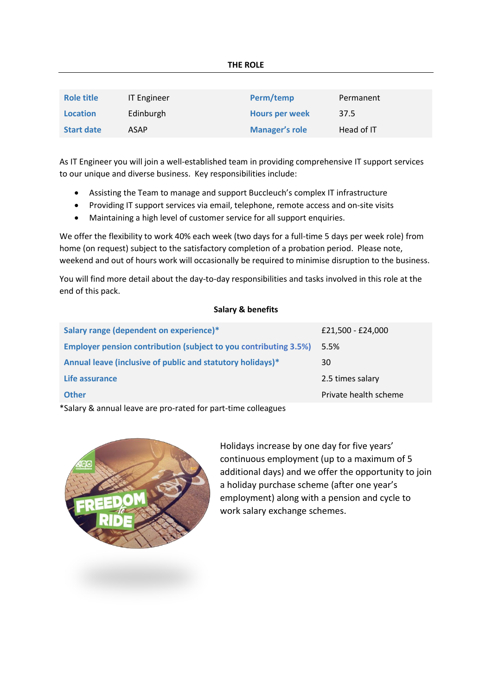| Role title        | <b>IT Engineer</b> | Perm/temp             | Permanent  |
|-------------------|--------------------|-----------------------|------------|
| <b>Location</b>   | Edinburgh          | <b>Hours per week</b> | 37.5       |
| <b>Start date</b> | <b>ASAP</b>        | <b>Manager's role</b> | Head of IT |

As IT Engineer you will join a well-established team in providing comprehensive IT support services to our unique and diverse business. Key responsibilities include:

- Assisting the Team to manage and support Buccleuch's complex IT infrastructure
- Providing IT support services via email, telephone, remote access and on-site visits
- Maintaining a high level of customer service for all support enquiries.

We offer the flexibility to work 40% each week (two days for a full-time 5 days per week role) from home (on request) subject to the satisfactory completion of a probation period. Please note, weekend and out of hours work will occasionally be required to minimise disruption to the business.

You will find more detail about the day-to-day responsibilities and tasks involved in this role at the end of this pack.

# **Salary & benefits**

| Salary range (dependent on experience)*                                 | £21,500 - £24,000     |
|-------------------------------------------------------------------------|-----------------------|
| <b>Employer pension contribution (subject to you contributing 3.5%)</b> | 5.5%                  |
| Annual leave (inclusive of public and statutory holidays)*              | 30                    |
| Life assurance                                                          | 2.5 times salary      |
| <b>Other</b>                                                            | Private health scheme |

\*Salary & annual leave are pro-rated for part-time colleagues



Holidays increase by one day for five years' continuous employment (up to a maximum of 5 additional days) and we offer the opportunity to join a holiday purchase scheme (after one year's employment) along with a pension and cycle to work salary exchange schemes.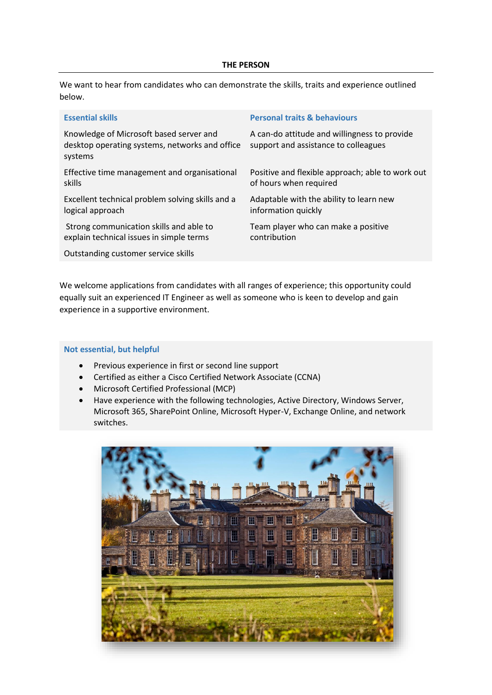#### **THE PERSON**

We want to hear from candidates who can demonstrate the skills, traits and experience outlined below.

| <b>Essential skills</b>                                                                              | <b>Personal traits &amp; behaviours</b>                                              |
|------------------------------------------------------------------------------------------------------|--------------------------------------------------------------------------------------|
| Knowledge of Microsoft based server and<br>desktop operating systems, networks and office<br>systems | A can-do attitude and willingness to provide<br>support and assistance to colleagues |
| Effective time management and organisational                                                         | Positive and flexible approach; able to work out                                     |
| skills                                                                                               | of hours when required                                                               |
| Excellent technical problem solving skills and a                                                     | Adaptable with the ability to learn new                                              |
| logical approach                                                                                     | information quickly                                                                  |
| Strong communication skills and able to                                                              | Team player who can make a positive                                                  |
| explain technical issues in simple terms                                                             | contribution                                                                         |
| Outstanding customer service skills                                                                  |                                                                                      |

We welcome applications from candidates with all ranges of experience; this opportunity could equally suit an experienced IT Engineer as well as someone who is keen to develop and gain experience in a supportive environment.

### **Not essential, but helpful**

- Previous experience in first or second line support
- Certified as either a Cisco Certified Network Associate (CCNA)
- Microsoft Certified Professional (MCP)
- Have experience with the following technologies, Active Directory, Windows Server, Microsoft 365, SharePoint Online, Microsoft Hyper-V, Exchange Online, and network switches.